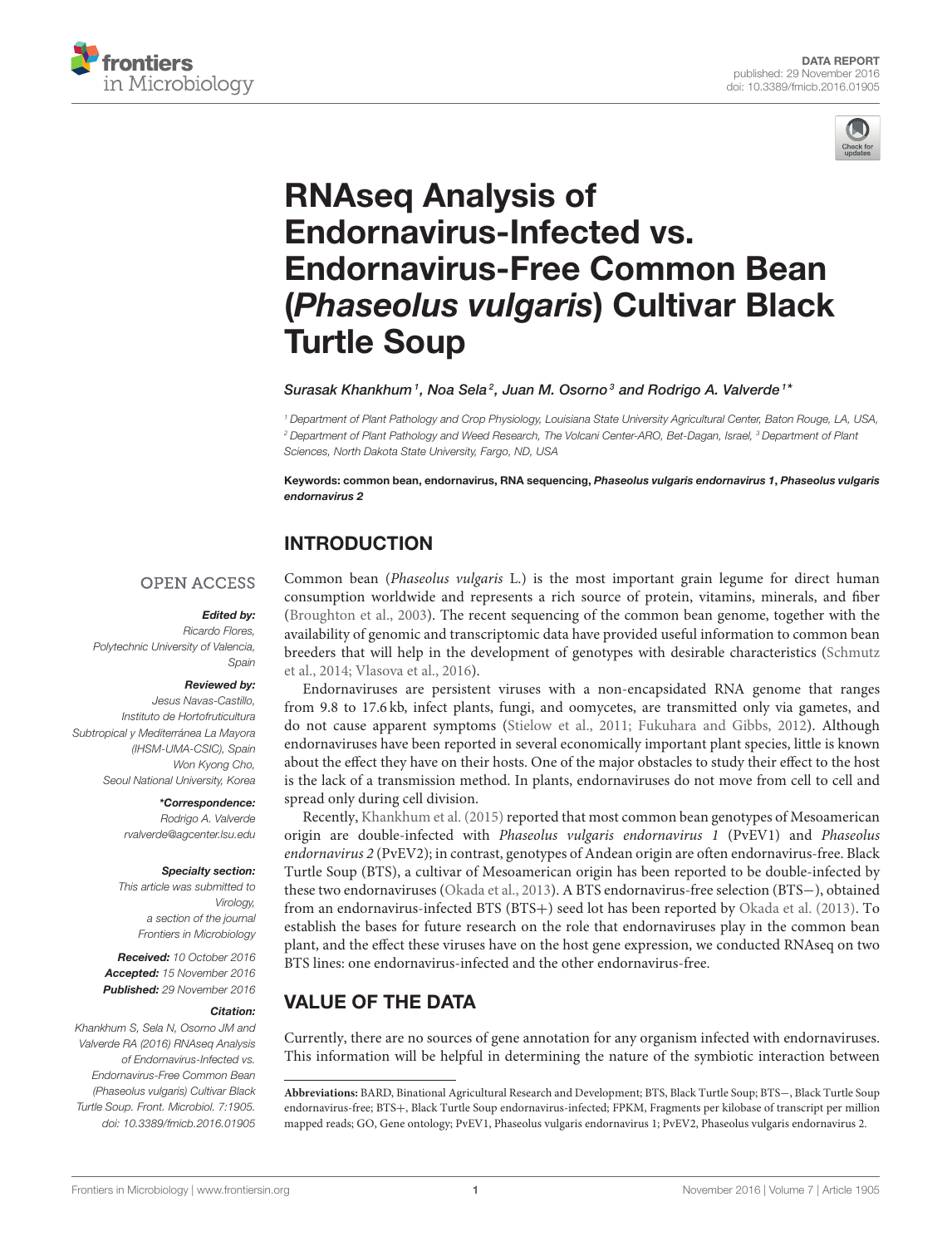



# RNAseq Analysis of Endornavirus-Infected vs. [Endornavirus-Free Common Bean](http://journal.frontiersin.org/article/10.3389/fmicb.2016.01905/full) (Phaseolus vulgaris) Cultivar Black Turtle Soup

### [Surasak Khankhum](http://loop.frontiersin.org/people/389378/overview)<sup>1</sup>, [Noa Sela](http://loop.frontiersin.org/people/272608/overview)<sup>2</sup>, Juan M. Osorno<sup>3</sup> and [Rodrigo A. Valverde](http://loop.frontiersin.org/people/383191/overview)<sup>1\*</sup>

<sup>1</sup> Department of Plant Pathology and Crop Physiology, Louisiana State University Agricultural Center, Baton Rouge, LA, USA, <sup>2</sup> Department of Plant Pathology and Weed Research, The Volcani Center-ARO, Bet-Dagan, Israel, <sup>3</sup> Department of Plant Sciences, North Dakota State University, Fargo, ND, USA

Keywords: common bean, endornavirus, RNA sequencing, Phaseolus vulgaris endornavirus 1, Phaseolus vulgaris endornavirus 2

# INTRODUCTION

### **OPEN ACCESS**

### Edited by:

Ricardo Flores, Polytechnic University of Valencia, Spain

#### Reviewed by:

Jesus Navas-Castillo, Instituto de Hortofruticultura Subtropical y Mediterránea La Mayora (IHSM-UMA-CSIC), Spain Won Kyong Cho, Seoul National University, Korea

#### \*Correspondence:

Rodrigo A. Valverde [rvalverde@agcenter.lsu.edu](mailto:rvalverde@agcenter.lsu.edu)

#### Specialty section:

This article was submitted to Virology, a section of the journal Frontiers in Microbiology

Received: 10 October 2016 Accepted: 15 November 2016 Published: 29 November 2016

### Citation:

Khankhum S, Sela N, Osorno JM and Valverde RA (2016) RNAseq Analysis of Endornavirus-Infected vs. Endornavirus-Free Common Bean (Phaseolus vulgaris) Cultivar Black Turtle Soup. Front. Microbiol. 7:1905. doi: [10.3389/fmicb.2016.01905](https://doi.org/10.3389/fmicb.2016.01905)

Common bean (Phaseolus vulgaris L.) is the most important grain legume for direct human consumption worldwide and represents a rich source of protein, vitamins, minerals, and fiber [\(Broughton et al., 2003\)](#page-2-0). The recent sequencing of the common bean genome, together with the availability of genomic and transcriptomic data have provided useful information to common bean breeders that will help in the development of genotypes with desirable characteristics (Schmutz et al., [2014;](#page-3-0) [Vlasova et al., 2016\)](#page-3-1).

Endornaviruses are persistent viruses with a non-encapsidated RNA genome that ranges from 9.8 to 17.6 kb, infect plants, fungi, and oomycetes, are transmitted only via gametes, and do not cause apparent symptoms [\(Stielow et al., 2011;](#page-3-2) [Fukuhara and Gibbs, 2012\)](#page-2-1). Although endornaviruses have been reported in several economically important plant species, little is known about the effect they have on their hosts. One of the major obstacles to study their effect to the host is the lack of a transmission method. In plants, endornaviruses do not move from cell to cell and spread only during cell division.

Recently, [Khankhum et al. \(2015\)](#page-2-2) reported that most common bean genotypes of Mesoamerican origin are double-infected with Phaseolus vulgaris endornavirus 1 (PvEV1) and Phaseolus endornavirus 2 (PvEV2); in contrast, genotypes of Andean origin are often endornavirus-free. Black Turtle Soup (BTS), a cultivar of Mesoamerican origin has been reported to be double-infected by these two endornaviruses [\(Okada et al., 2013\)](#page-3-3). A BTS endornavirus-free selection (BTS−), obtained from an endornavirus-infected BTS (BTS+) seed lot has been reported by [Okada et al. \(2013\)](#page-3-3). To establish the bases for future research on the role that endornaviruses play in the common bean plant, and the effect these viruses have on the host gene expression, we conducted RNAseq on two BTS lines: one endornavirus-infected and the other endornavirus-free.

# VALUE OF THE DATA

Currently, there are no sources of gene annotation for any organism infected with endornaviruses. This information will be helpful in determining the nature of the symbiotic interaction between

**Abbreviations:** BARD, Binational Agricultural Research and Development; BTS, Black Turtle Soup; BTS−, Black Turtle Soup endornavirus-free; BTS+, Black Turtle Soup endornavirus-infected; FPKM, Fragments per kilobase of transcript per million mapped reads; GO, Gene ontology; PvEV1, Phaseolus vulgaris endornavirus 1; PvEV2, Phaseolus vulgaris endornavirus 2.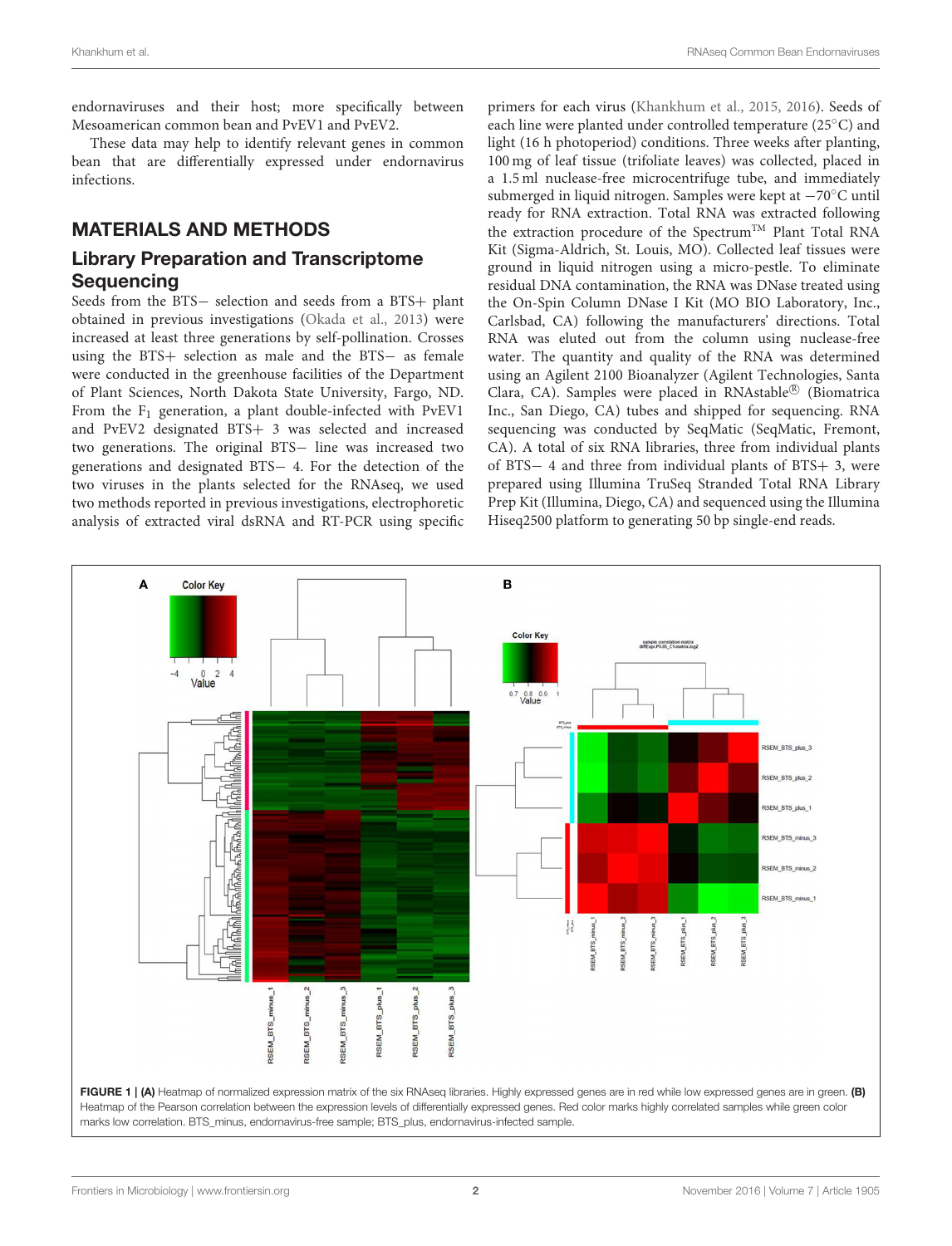endornaviruses and their host; more specifically between Mesoamerican common bean and PvEV1 and PvEV2.

These data may help to identify relevant genes in common bean that are differentially expressed under endornavirus infections.

# MATERIALS AND METHODS

# Library Preparation and Transcriptome **Sequencing**

Seeds from the BTS− selection and seeds from a BTS+ plant obtained in previous investigations [\(Okada et al., 2013\)](#page-3-3) were increased at least three generations by self-pollination. Crosses using the BTS+ selection as male and the BTS− as female were conducted in the greenhouse facilities of the Department of Plant Sciences, North Dakota State University, Fargo, ND. From the  $F_1$  generation, a plant double-infected with PvEV1 and PvEV2 designated BTS+ 3 was selected and increased two generations. The original BTS− line was increased two generations and designated BTS− 4. For the detection of the two viruses in the plants selected for the RNAseq, we used two methods reported in previous investigations, electrophoretic analysis of extracted viral dsRNA and RT-PCR using specific

primers for each virus [\(Khankhum et al., 2015,](#page-2-2) [2016\)](#page-2-3). Seeds of each line were planted under controlled temperature (25◦C) and light (16 h photoperiod) conditions. Three weeks after planting, 100 mg of leaf tissue (trifoliate leaves) was collected, placed in a 1.5 ml nuclease-free microcentrifuge tube, and immediately submerged in liquid nitrogen. Samples were kept at −70◦C until ready for RNA extraction. Total RNA was extracted following the extraction procedure of the Spectrum<sup>TM</sup> Plant Total RNA Kit (Sigma-Aldrich, St. Louis, MO). Collected leaf tissues were ground in liquid nitrogen using a micro-pestle. To eliminate residual DNA contamination, the RNA was DNase treated using the On-Spin Column DNase I Kit (MO BIO Laboratory, Inc., Carlsbad, CA) following the manufacturers' directions. Total RNA was eluted out from the column using nuclease-free water. The quantity and quality of the RNA was determined using an Agilent 2100 Bioanalyzer (Agilent Technologies, Santa Clara, CA). Samples were placed in RNAstable® (Biomatrica Inc., San Diego, CA) tubes and shipped for sequencing. RNA sequencing was conducted by SeqMatic (SeqMatic, Fremont, CA). A total of six RNA libraries, three from individual plants of BTS− 4 and three from individual plants of BTS+ 3, were prepared using Illumina TruSeq Stranded Total RNA Library Prep Kit (Illumina, Diego, CA) and sequenced using the Illumina Hiseq2500 platform to generating 50 bp single-end reads.

<span id="page-1-0"></span>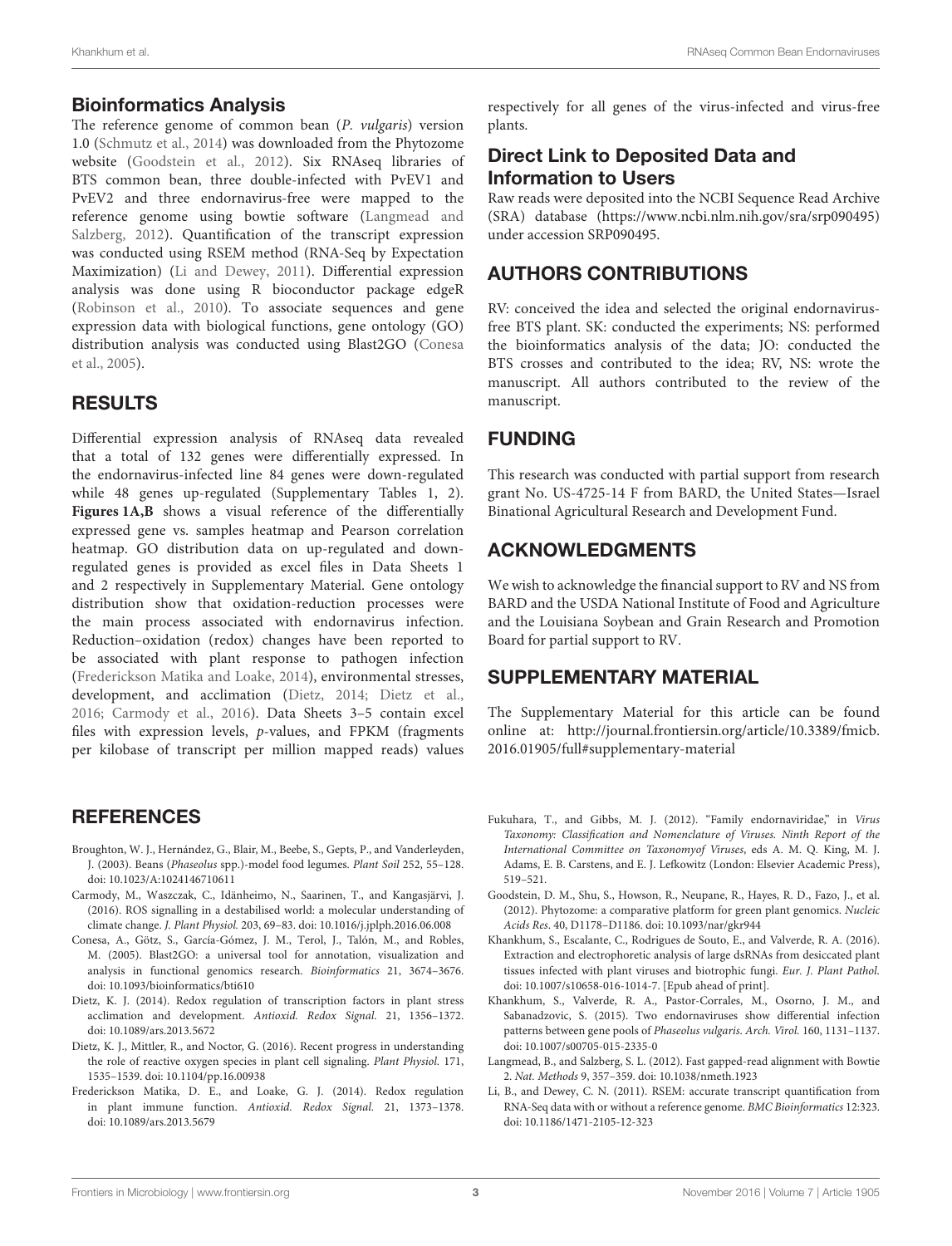### Bioinformatics Analysis

The reference genome of common bean (P. vulgaris) version 1.0 [\(Schmutz et al., 2014\)](#page-3-0) was downloaded from the Phytozome website [\(Goodstein et al., 2012\)](#page-2-4). Six RNAseq libraries of BTS common bean, three double-infected with PvEV1 and PvEV2 and three endornavirus-free were mapped to the reference genome using bowtie software (Langmead and Salzberg, [2012\)](#page-2-5). Quantification of the transcript expression was conducted using RSEM method (RNA-Seq by Expectation Maximization) [\(Li and Dewey, 2011\)](#page-2-6). Differential expression analysis was done using R bioconductor package edgeR [\(Robinson et al., 2010\)](#page-3-4). To associate sequences and gene expression data with biological functions, gene ontology (GO) distribution analysis was conducted using Blast2GO (Conesa et al., [2005\)](#page-2-7).

# RESULTS

Differential expression analysis of RNAseq data revealed that a total of 132 genes were differentially expressed. In the endornavirus-infected line 84 genes were down-regulated while 48 genes up-regulated (Supplementary Tables 1, 2). [Figures 1A,B](#page-1-0) shows a visual reference of the differentially expressed gene vs. samples heatmap and Pearson correlation heatmap. GO distribution data on up-regulated and downregulated genes is provided as excel files in Data Sheets 1 and 2 respectively in Supplementary Material. Gene ontology distribution show that oxidation-reduction processes were the main process associated with endornavirus infection. Reduction–oxidation (redox) changes have been reported to be associated with plant response to pathogen infection [\(Frederickson Matika and Loake, 2014\)](#page-2-8), environmental stresses, development, and acclimation [\(Dietz, 2014;](#page-2-9) [Dietz et al.,](#page-2-10) [2016;](#page-2-10) [Carmody et al., 2016\)](#page-2-11). Data Sheets 3–5 contain excel files with expression levels, p-values, and FPKM (fragments per kilobase of transcript per million mapped reads) values

### **REFERENCES**

- <span id="page-2-0"></span>Broughton, W. J., Hernández, G., Blair, M., Beebe, S., Gepts, P., and Vanderleyden, J. (2003). Beans (Phaseolus spp.)-model food legumes. Plant Soil 252, 55–128. doi: [10.1023/A:1024146710611](https://doi.org/10.1023/A:1024146710611)
- <span id="page-2-11"></span>Carmody, M., Waszczak, C., Idänheimo, N., Saarinen, T., and Kangasjärvi, J. (2016). ROS signalling in a destabilised world: a molecular understanding of climate change. J. Plant Physiol. 203, 69–83. doi: [10.1016/j.jplph.2016.06.008](https://doi.org/10.1016/j.jplph.2016.06.008)
- <span id="page-2-7"></span>Conesa, A., Götz, S., García-Gómez, J. M., Terol, J., Talón, M., and Robles, M. (2005). Blast2GO: a universal tool for annotation, visualization and analysis in functional genomics research. Bioinformatics 21, 3674–3676. doi: [10.1093/bioinformatics/bti610](https://doi.org/10.1093/bioinformatics/bti610)
- <span id="page-2-9"></span>Dietz, K. J. (2014). Redox regulation of transcription factors in plant stress acclimation and development. Antioxid. Redox Signal. 21, 1356–1372. doi: [10.1089/ars.2013.5672](https://doi.org/10.1089/ars.2013.5672)
- <span id="page-2-10"></span>Dietz, K. J., Mittler, R., and Noctor, G. (2016). Recent progress in understanding the role of reactive oxygen species in plant cell signaling. Plant Physiol. 171, 1535–1539. doi: [10.1104/pp.16.00938](https://doi.org/10.1104/pp.16.00938)
- <span id="page-2-8"></span>Frederickson Matika, D. E., and Loake, G. J. (2014). Redox regulation in plant immune function. Antioxid. Redox Signal. 21, 1373–1378. doi: [10.1089/ars.2013.5679](https://doi.org/10.1089/ars.2013.5679)

respectively for all genes of the virus-infected and virus-free plants.

# Direct Link to Deposited Data and Information to Users

Raw reads were deposited into the NCBI Sequence Read Archive (SRA) database [\(https://www.ncbi.nlm.nih.gov/sra/srp090495\)](https://www.ncbi.nlm.nih.gov/sra/srp090495) under accession SRP090495.

# AUTHORS CONTRIBUTIONS

RV: conceived the idea and selected the original endornavirusfree BTS plant. SK: conducted the experiments; NS: performed the bioinformatics analysis of the data; JO: conducted the BTS crosses and contributed to the idea; RV, NS: wrote the manuscript. All authors contributed to the review of the manuscript.

# FUNDING

This research was conducted with partial support from research grant No. US-4725-14 F from BARD, the United States—Israel Binational Agricultural Research and Development Fund.

### ACKNOWLEDGMENTS

We wish to acknowledge the financial support to RV and NS from BARD and the USDA National Institute of Food and Agriculture and the Louisiana Soybean and Grain Research and Promotion Board for partial support to RV.

# SUPPLEMENTARY MATERIAL

The Supplementary Material for this article can be found [online at: http://journal.frontiersin.org/article/10.3389/fmicb.](http://journal.frontiersin.org/article/10.3389/fmicb.2016.01905/full#supplementary-material) 2016.01905/full#supplementary-material

- <span id="page-2-1"></span>Fukuhara, T., and Gibbs, M. J. (2012). "Family endornaviridae," in Virus Taxonomy: Classification and Nomenclature of Viruses. Ninth Report of the International Committee on Taxonomyof Viruses, eds A. M. Q. King, M. J. Adams, E. B. Carstens, and E. J. Lefkowitz (London: Elsevier Academic Press), 519–521.
- <span id="page-2-4"></span>Goodstein, D. M., Shu, S., Howson, R., Neupane, R., Hayes, R. D., Fazo, J., et al. (2012). Phytozome: a comparative platform for green plant genomics. Nucleic Acids Res. 40, D1178–D1186. doi: [10.1093/nar/gkr944](https://doi.org/10.1093/nar/gkr944)
- <span id="page-2-3"></span>Khankhum, S., Escalante, C., Rodrigues de Souto, E., and Valverde, R. A. (2016). Extraction and electrophoretic analysis of large dsRNAs from desiccated plant tissues infected with plant viruses and biotrophic fungi. Eur. J. Plant Pathol. doi: [10.1007/s10658-016-1014-7](https://doi.org/10.1007/s10658-016-1014-7). [Epub ahead of print].
- <span id="page-2-2"></span>Khankhum, S., Valverde, R. A., Pastor-Corrales, M., Osorno, J. M., and Sabanadzovic, S. (2015). Two endornaviruses show differential infection patterns between gene pools of Phaseolus vulgaris. Arch. Virol. 160, 1131–1137. doi: [10.1007/s00705-015-2335-0](https://doi.org/10.1007/s00705-015-2335-0)
- <span id="page-2-5"></span>Langmead, B., and Salzberg, S. L. (2012). Fast gapped-read alignment with Bowtie 2. Nat. Methods 9, 357–359. doi: [10.1038/nmeth.1923](https://doi.org/10.1038/nmeth.1923)
- <span id="page-2-6"></span>Li, B., and Dewey, C. N. (2011). RSEM: accurate transcript quantification from RNA-Seq data with or without a reference genome. BMC Bioinformatics 12:323. doi: [10.1186/1471-2105-12-323](https://doi.org/10.1186/1471-2105-12-323)